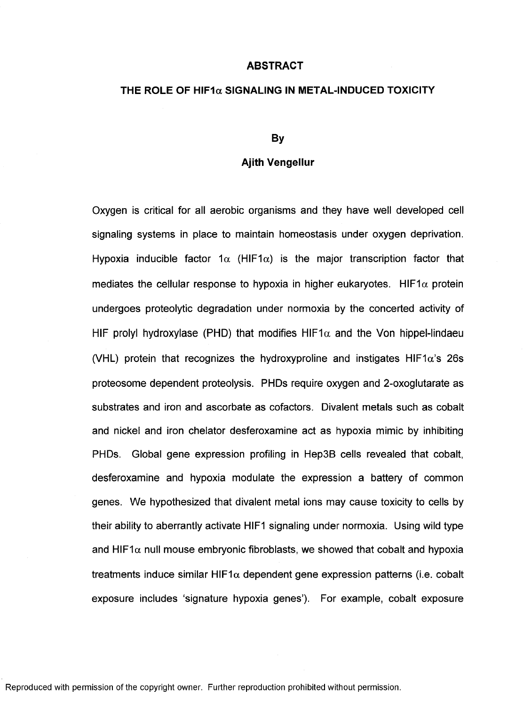## **ABSTRACT**

## **THE ROLE OF HIF1a SIGNALING IN METAL-INDUCED TOXICITY**

## **By**

## **Ajith Vengellur**

Oxygen is critical for all aerobic organisms and they have well developed cell signaling systems in place to maintain homeostasis under oxygen deprivation. Hypoxia inducible factor 1 $\alpha$  (HIF1 $\alpha$ ) is the major transcription factor that mediates the cellular response to hypoxia in higher eukaryotes. HIF1 $\alpha$  protein undergoes proteolytic degradation under normoxia by the concerted activity of HIF prolyl hydroxylase (PHD) that modifies HIF1 $\alpha$  and the Von hippel-lindaeu (VHL) protein that recognizes the hydroxyproline and instigates HIF1 $\alpha$ 's 26s proteosome dependent proteolysis. PHDs require oxygen and 2-oxoglutarate as substrates and iron and ascorbate as cofactors. Divalent metals such as cobalt and nickel and iron chelator desferoxamine act as hypoxia mimic by inhibiting PHDs. Global gene expression profiling in Hep3B cells revealed that cobalt, desferoxamine and hypoxia modulate the expression a battery of common genes. We hypothesized that divalent metal ions may cause toxicity to cells by their ability to aberrantly activate HIF1 signaling under normoxia. Using wild type and HIF1 $\alpha$  null mouse embryonic fibroblasts, we showed that cobalt and hypoxia treatments induce similar HIF1 $\alpha$  dependent gene expression patterns (i.e. cobalt exposure includes 'signature hypoxia genes'). For example, cobalt exposure